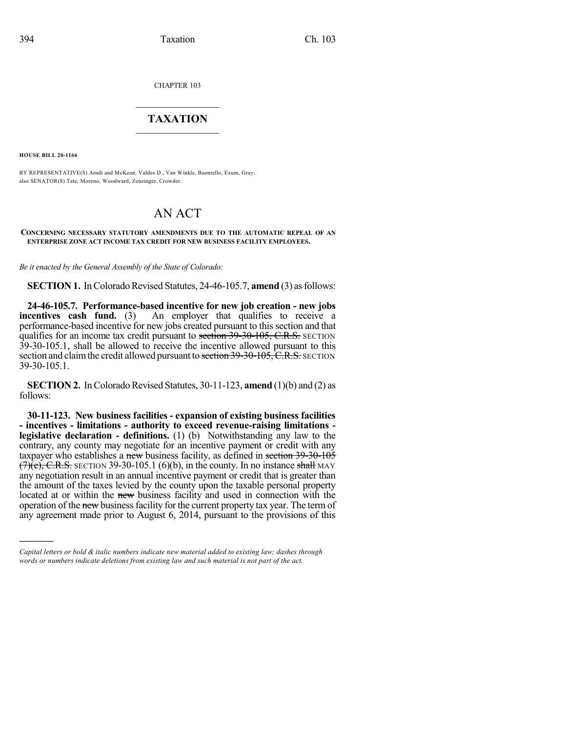CHAPTER 103

## $\mathcal{L}_\text{max}$  . The set of the set of the set of the set of the set of the set of the set of the set of the set of the set of the set of the set of the set of the set of the set of the set of the set of the set of the set **TAXATION**  $\_$

**HOUSE BILL 20-1166**

)))))

BY REPRESENTATIVE(S) Arndt and McKean, Valdez D., Van Winkle, Buentello, Exum, Gray; also SENATOR(S) Tate, Moreno, Woodward, Zenzinger, Crowder.

# AN ACT

#### **CONCERNING NECESSARY STATUTORY AMENDMENTS DUE TO THE AUTOMATIC REPEAL OF AN ENTERPRISE ZONE ACT INCOME TAX CREDIT FOR NEW BUSINESS FACILITY EMPLOYEES.**

*Be it enacted by the General Assembly of the State of Colorado:*

**SECTION 1.** In Colorado Revised Statutes, 24-46-105.7, **amend** (3) as follows:

**24-46-105.7. Performance-based incentive for new job creation - new jobs incentives cash fund.** (3) An employer that qualifies to receive a performance-based incentive for new jobs created pursuant to this section and that qualifies for an income tax credit pursuant to section 39-30-105, C.R.S. SECTION 39-30-105.1, shall be allowed to receive the incentive allowed pursuant to this section and claim the credit allowed pursuant to section 39-30-105, C.R.S. SECTION 39-30-105.1.

**SECTION 2.** In Colorado Revised Statutes, 30-11-123, **amend** (1)(b) and (2) as follows:

**30-11-123. New business facilities - expansion of existing business facilities - incentives - limitations - authority to exceed revenue-raising limitations legislative declaration - definitions.** (1) (b) Notwithstanding any law to the contrary, any county may negotiate for an incentive payment or credit with any taxpayer who establishes a new business facility, as defined in section 39-30-105  $(7)(e)$ , C.R.S. SECTION 39-30-105.1 (6)(b), in the county. In no instance shall MAY any negotiation result in an annual incentive payment or credit that is greater than the amount of the taxes levied by the county upon the taxable personal property located at or within the new business facility and used in connection with the operation of the new business facility for the current property tax year. The term of any agreement made prior to August 6, 2014, pursuant to the provisions of this

*Capital letters or bold & italic numbers indicate new material added to existing law; dashes through words or numbers indicate deletions from existing law and such material is not part of the act.*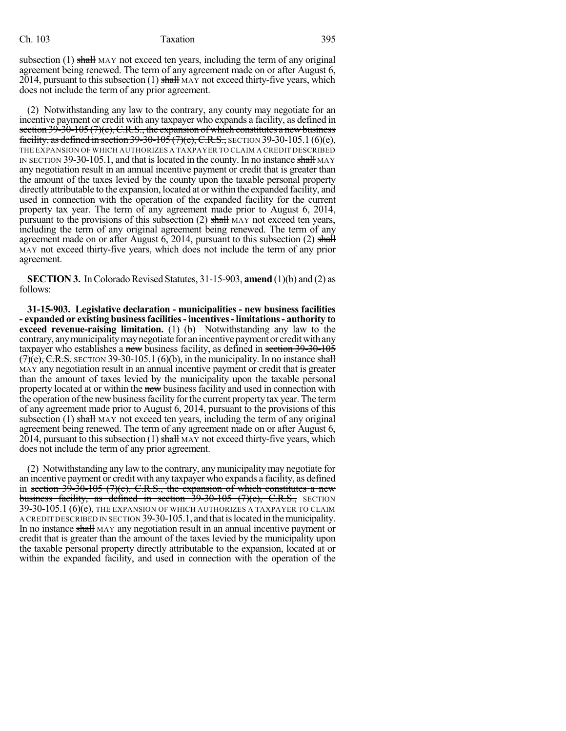### Ch. 103 Taxation 395

subsection  $(1)$  shall MAY not exceed ten years, including the term of any original agreement being renewed. The term of any agreement made on or after August 6, 2014, pursuant to this subsection  $(1)$  shall MAY not exceed thirty-five years, which does not include the term of any prior agreement.

(2) Notwithstanding any law to the contrary, any county may negotiate for an incentive payment or credit with any taxpayer who expands a facility, as defined in section  $39-30-105(7)(c)$ , C.R.S., the expansion of which constitutes a new business facility, as defined in section  $39-30-105$  (7)(e), C.R.S., SECTION 39-30-105.1 (6)(e), THE EXPANSION OF WHICH AUTHORIZES A TAXPAYER TO CLAIM A CREDIT DESCRIBED IN SECTION 39-30-105.1, and that is located in the county. In no instance shall MAY any negotiation result in an annual incentive payment or credit that is greater than the amount of the taxes levied by the county upon the taxable personal property directly attributable to the expansion, located at or within the expanded facility, and used in connection with the operation of the expanded facility for the current property tax year. The term of any agreement made prior to August 6, 2014, pursuant to the provisions of this subsection  $(2)$  shall MAY not exceed ten years, including the term of any original agreement being renewed. The term of any agreement made on or after August 6, 2014, pursuant to this subsection  $(2)$  shall MAY not exceed thirty-five years, which does not include the term of any prior agreement.

**SECTION 3.** In Colorado Revised Statutes, 31-15-903, **amend** (1)(b) and (2) as follows:

**31-15-903. Legislative declaration - municipalities - new business facilities - expanded or existing businessfacilities-incentives-limitations- authority to exceed revenue-raising limitation.** (1) (b) Notwithstanding any law to the contrary, any municipality may negotiate for an incentive payment or credit with any taxpayer who establishes a new business facility, as defined in section 39-30-105  $(7)(e)$ , C.R.S. SECTION 39-30-105.1 (6)(b), in the municipality. In no instance shall MAY any negotiation result in an annual incentive payment or credit that is greater than the amount of taxes levied by the municipality upon the taxable personal property located at or within the new business facility and used in connection with the operation of the new business facility for the current property tax year. The term of any agreement made prior to August 6, 2014, pursuant to the provisions of this subsection  $(1)$  shall MAY not exceed ten years, including the term of any original agreement being renewed. The term of any agreement made on or after August 6, 2014, pursuant to this subsection  $(1)$  shall MAY not exceed thirty-five years, which does not include the term of any prior agreement.

(2) Notwithstanding any law to the contrary, anymunicipality may negotiate for an incentive payment or credit with any taxpayer who expands a facility, as defined in section 39-30-105 (7)(c), C.R.S., the expansion of which constitutes a new business facility, as defined in section 39-30-105 (7)(e), C.R.S., SECTION 39-30-105.1 (6)(e), THE EXPANSION OF WHICH AUTHORIZES A TAXPAYER TO CLAIM A CREDIT DESCRIBED IN SECTION 39-30-105.1, and thatislocated in themunicipality. In no instance shall MAY any negotiation result in an annual incentive payment or credit that is greater than the amount of the taxes levied by the municipality upon the taxable personal property directly attributable to the expansion, located at or within the expanded facility, and used in connection with the operation of the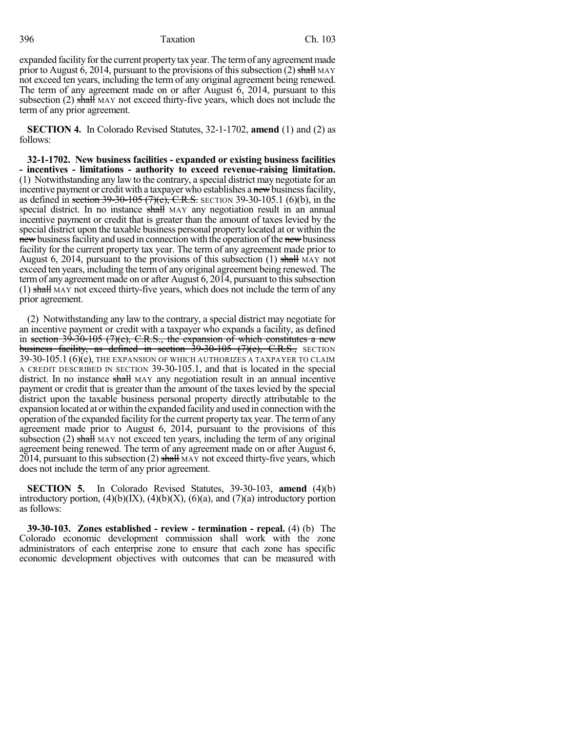396 Taxation Ch. 103

expanded facility for the current property tax year. The term of any agreement made prior to August 6, 2014, pursuant to the provisions of this subsection (2) shall MAY not exceed ten years, including the term of any original agreement being renewed. The term of any agreement made on or after August 6, 2014, pursuant to this subsection (2) shall MAY not exceed thirty-five years, which does not include the term of any prior agreement.

**SECTION 4.** In Colorado Revised Statutes, 32-1-1702, **amend** (1) and (2) as follows:

**32-1-1702. New business facilities - expanded or existing business facilities - incentives - limitations - authority to exceed revenue-raising limitation.** (1) Notwithstanding any law to the contrary, a special district may negotiate for an incentive payment or credit with a taxpayer who establishes a new business facility, as defined in section 39-30-105 (7)(e), C.R.S. SECTION 39-30-105.1 (6)(b), in the special district. In no instance shall MAY any negotiation result in an annual incentive payment or credit that is greater than the amount of taxes levied by the special district upon the taxable business personal property located at or within the new business facility and used in connection with the operation of the new business facility for the current property tax year. The term of any agreement made prior to August 6, 2014, pursuant to the provisions of this subsection  $(1)$  shall MAY not exceed ten years, including the term of any original agreement being renewed. The term of any agreement made on or after August 6, 2014, pursuant to this subsection  $(1)$  shall MAY not exceed thirty-five years, which does not include the term of any prior agreement.

(2) Notwithstanding any law to the contrary, a special district may negotiate for an incentive payment or credit with a taxpayer who expands a facility, as defined in section  $39-30-105$  (7)(c), C.R.S., the expansion of which constitutes a new business facility, as defined in section 39-30-105 (7)(e), C.R.S., SECTION 39-30-105.1 (6)(e), THE EXPANSION OF WHICH AUTHORIZES A TAXPAYER TO CLAIM A CREDIT DESCRIBED IN SECTION 39-30-105.1, and that is located in the special district. In no instance shall MAY any negotiation result in an annual incentive payment or credit that is greater than the amount of the taxes levied by the special district upon the taxable business personal property directly attributable to the expansion located at or within the expanded facility and used in connection with the operation of the expanded facility for the current property tax year. The termof any agreement made prior to August 6, 2014, pursuant to the provisions of this subsection  $(2)$  shall MAY not exceed ten years, including the term of any original agreement being renewed. The term of any agreement made on or after August 6,  $2014$ , pursuant to this subsection (2) shall MAY not exceed thirty-five years, which does not include the term of any prior agreement.

**SECTION 5.** In Colorado Revised Statutes, 39-30-103, **amend** (4)(b) introductory portion,  $(4)(b)(IX)$ ,  $(4)(b)(X)$ ,  $(6)(a)$ , and  $(7)(a)$  introductory portion as follows:

**39-30-103. Zones established - review - termination - repeal.** (4) (b) The Colorado economic development commission shall work with the zone administrators of each enterprise zone to ensure that each zone has specific economic development objectives with outcomes that can be measured with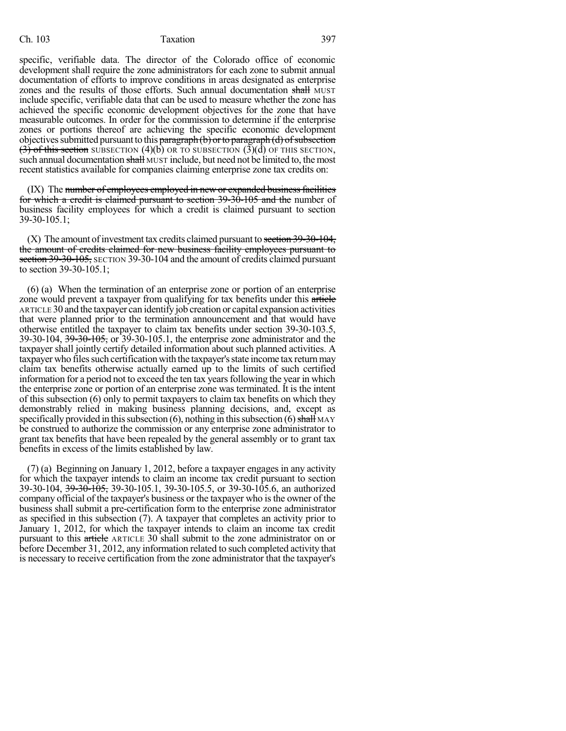#### Ch. 103 Taxation 397

specific, verifiable data. The director of the Colorado office of economic development shall require the zone administrators for each zone to submit annual documentation of efforts to improve conditions in areas designated as enterprise zones and the results of those efforts. Such annual documentation shall MUST include specific, verifiable data that can be used to measure whether the zone has achieved the specific economic development objectives for the zone that have measurable outcomes. In order for the commission to determine if the enterprise zones or portions thereof are achieving the specific economic development objectives submitted pursuant to this paragraph  $(b)$  or to paragraph  $(d)$  of subsection  $(3)$  of this section SUBSECTION (4)(b) OR TO SUBSECTION (3)(d) OF THIS SECTION, such annual documentation shall MUST include, but need not be limited to, the most recent statistics available for companies claiming enterprise zone tax credits on:

(IX) The number of employees employed in new or expanded business facilities for which a credit is claimed pursuant to section 39-30-105 and the number of business facility employees for which a credit is claimed pursuant to section 39-30-105.1;

 $(X)$  The amount of investment tax credits claimed pursuant to section 39-30-104, the amount of credits claimed for new business facility employees pursuant to section 39-30-105, SECTION 39-30-104 and the amount of credits claimed pursuant to section 39-30-105.1;

(6) (a) When the termination of an enterprise zone or portion of an enterprise zone would prevent a taxpayer from qualifying for tax benefits under this article ARTICLE 30 and the taxpayer can identify job creation or capital expansion activities that were planned prior to the termination announcement and that would have otherwise entitled the taxpayer to claim tax benefits under section 39-30-103.5, 39-30-104, 39-30-105, or 39-30-105.1, the enterprise zone administrator and the taxpayer shall jointly certify detailed information about such planned activities. A taxpayer who files such certification with the taxpayer's state income tax return may claim tax benefits otherwise actually earned up to the limits of such certified information for a period not to exceed the ten tax years following the year in which the enterprise zone or portion of an enterprise zone was terminated. It is the intent of this subsection (6) only to permit taxpayers to claim tax benefits on which they demonstrably relied in making business planning decisions, and, except as specifically provided in this subsection  $(6)$ , nothing in this subsection  $(6)$  shall MAY be construed to authorize the commission or any enterprise zone administrator to grant tax benefits that have been repealed by the general assembly or to grant tax benefits in excess of the limits established by law.

(7) (a) Beginning on January 1, 2012, before a taxpayer engages in any activity for which the taxpayer intends to claim an income tax credit pursuant to section 39-30-104, 39-30-105, 39-30-105.1, 39-30-105.5, or 39-30-105.6, an authorized company official of the taxpayer's business or the taxpayer who isthe owner of the business shall submit a pre-certification form to the enterprise zone administrator as specified in this subsection (7). A taxpayer that completes an activity prior to January 1, 2012, for which the taxpayer intends to claim an income tax credit pursuant to this article ARTICLE 30 shall submit to the zone administrator on or before December 31, 2012, any information related to such completed activity that is necessary to receive certification from the zone administrator that the taxpayer's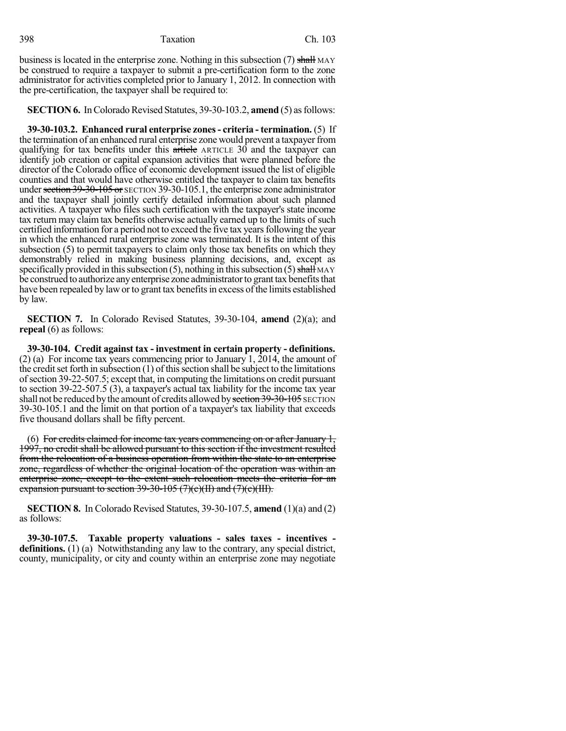business is located in the enterprise zone. Nothing in this subsection (7) shall MAY be construed to require a taxpayer to submit a pre-certification form to the zone administrator for activities completed prior to January 1, 2012. In connection with the pre-certification, the taxpayer shall be required to:

**SECTION 6.** In Colorado Revised Statutes, 39-30-103.2, **amend** (5) as follows:

**39-30-103.2. Enhanced rural enterprise zones- criteria - termination.** (5) If the termination of an enhanced rural enterprise zone would prevent a taxpayer from qualifying for tax benefits under this article ARTICLE 30 and the taxpayer can identify job creation or capital expansion activities that were planned before the director of the Colorado office of economic development issued the list of eligible counties and that would have otherwise entitled the taxpayer to claim tax benefits under section  $39-30-105$  or SECTION 39-30-105.1, the enterprise zone administrator and the taxpayer shall jointly certify detailed information about such planned activities. A taxpayer who files such certification with the taxpayer's state income tax return may claim tax benefits otherwise actually earned up to the limits of such certified information for a period not to exceed the five tax years following the year in which the enhanced rural enterprise zone was terminated. It is the intent of this subsection (5) to permit taxpayers to claim only those tax benefits on which they demonstrably relied in making business planning decisions, and, except as specifically provided in this subsection  $(5)$ , nothing in this subsection  $(5)$  shall MAY be construed to authorize any enterprise zone administrator to grant tax benefits that have been repealed by law or to grant tax benefits in excess of the limits established by law.

**SECTION 7.** In Colorado Revised Statutes, 39-30-104, **amend** (2)(a); and **repeal** (6) as follows:

**39-30-104. Credit against tax - investment in certain property - definitions.** (2) (a) For income tax years commencing prior to January 1, 2014, the amount of the credit set forth in subsection  $(1)$  of this section shall be subject to the limitations ofsection 39-22-507.5; except that, in computing the limitations on credit pursuant to section 39-22-507.5 (3), a taxpayer's actual tax liability for the income tax year shall not be reduced by the amount of credits allowed by section 39-30-105 SECTION 39-30-105.1 and the limit on that portion of a taxpayer's tax liability that exceeds five thousand dollars shall be fifty percent.

(6) For credits claimed for income tax years commencing on or after January  $1$ , 1997, no credit shall be allowed pursuant to this section if the investment resulted from the relocation of a business operation from within the state to an enterprise zone, regardless of whether the original location of the operation was within an enterprise zone, except to the extent such relocation meets the criteria for an expansion pursuant to section  $39-30-105$  (7)(e)(II) and (7)(e)(III).

**SECTION 8.** In Colorado Revised Statutes, 39-30-107.5, **amend** (1)(a) and (2) as follows:

**39-30-107.5. Taxable property valuations - sales taxes - incentives definitions.** (1) (a) Notwithstanding any law to the contrary, any special district, county, municipality, or city and county within an enterprise zone may negotiate